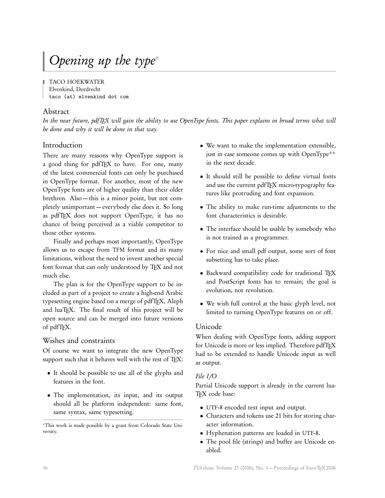# Opening up the type<sup>∗</sup>

TACO HOEKWATER Elvenkind, Dordrecht taco (at) elvenkind dot com

## Abstract

In the near future, pdfTFX will gain the ability to use OpenType fonts. This paper explains in broad terms what will be done and why it will be done in that way.

# Introduction

There are many reasons why OpenType support is a good thing for pdfTFX to have. For one, many of the latest commercial fonts can only be purchased in OpenType format. For another, most of the new OpenType fonts are of higher quality than their older brethren. Also — this is a minor point, but not completely unimportant — everybody else does it. So long as pdfTEX does not support OpenType, it has no chance of being perceived as a viable competitor to those other systems.

Finally and perhaps most importantly, OpenType allows us to escape from TFM format and its many limitations, without the need to invent another special font format that can only understood by TFX and not much else.

The plan is for the OpenType support to be included as part of a project to create a high-end Arabic typesetting engine based on a merge of pdfTFX, Aleph and luaTEX. The final result of this project will be open source and can be merged into future versions of pdfT<sub>E</sub>X.

## Wishes and constraints

Of course we want to integrate the new OpenType support such that it behaves well with the rest of TFX:

- It should be possible to use all of the glyphs and features in the font.
- The implementation, its input, and its output should all be platform independent: same font, same syntax, same typesetting.

<sup>∗</sup>This work is made possible by a grant from Colorado State University.

- We want to make the implementation extensible, just in case someone comes up with OpenType<sup>++</sup> in the next decade.
- It should still be possible to define virtual fonts and use the current pdfTFX micro-typography features like protruding and font expansion.
- The ability to make run-time adjustments to the font characteristics is desirable.
- The interface should be usable by somebody who is not trained as a programmer.
- For nice and small pdf output, some sort of font subsetting has to take place.
- Backward compatibility code for traditional TEX and PostScript fonts has to remain; the goal is evolution, not revolution.
- We wish full control at the basic glyph level, not limited to turning OpenType features on or off.

#### Unicode

When dealing with OpenType fonts, adding support for Unicode is more or less implied. Therefore pdfTEX had to be extended to handle Unicode input as well as output.

#### File I*/*O

Partial Unicode support is already in the current lua-TFX code base:

- UTF-8 encoded text input and output.
- Characters and tokens use 21 bits for storing character information.
- Hyphenation patterns are loaded in UTF-8.
- The pool file (strings) and buffer are Unicode enabled.